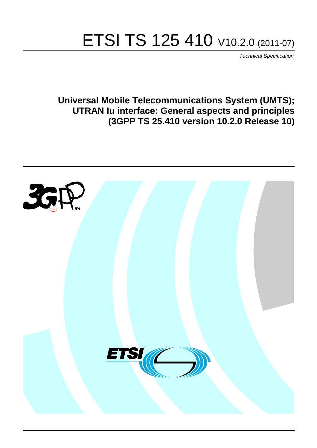# ETSI TS 125 410 V10.2.0 (2011-07)

*Technical Specification*

**Universal Mobile Telecommunications System (UMTS); UTRAN Iu interface: General aspects and principles (3GPP TS 25.410 version 10.2.0 Release 10)**

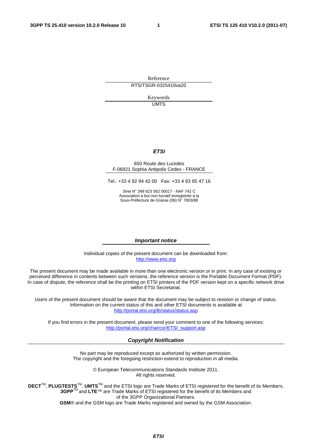Reference RTS/TSGR-0325410va20

> Keywords UMTS

#### *ETSI*

#### 650 Route des Lucioles F-06921 Sophia Antipolis Cedex - FRANCE

Tel.: +33 4 92 94 42 00 Fax: +33 4 93 65 47 16

Siret N° 348 623 562 00017 - NAF 742 C Association à but non lucratif enregistrée à la Sous-Préfecture de Grasse (06) N° 7803/88

#### *Important notice*

Individual copies of the present document can be downloaded from: [http://www.etsi.org](http://www.etsi.org/)

The present document may be made available in more than one electronic version or in print. In any case of existing or perceived difference in contents between such versions, the reference version is the Portable Document Format (PDF). In case of dispute, the reference shall be the printing on ETSI printers of the PDF version kept on a specific network drive within ETSI Secretariat.

Users of the present document should be aware that the document may be subject to revision or change of status. Information on the current status of this and other ETSI documents is available at <http://portal.etsi.org/tb/status/status.asp>

If you find errors in the present document, please send your comment to one of the following services: [http://portal.etsi.org/chaircor/ETSI\\_support.asp](http://portal.etsi.org/chaircor/ETSI_support.asp)

#### *Copyright Notification*

No part may be reproduced except as authorized by written permission. The copyright and the foregoing restriction extend to reproduction in all media.

> © European Telecommunications Standards Institute 2011. All rights reserved.

DECT<sup>™</sup>, PLUGTESTS<sup>™</sup>, UMTS<sup>™</sup> and the ETSI logo are Trade Marks of ETSI registered for the benefit of its Members. **3GPP**TM and **LTE**™ are Trade Marks of ETSI registered for the benefit of its Members and of the 3GPP Organizational Partners.

**GSM**® and the GSM logo are Trade Marks registered and owned by the GSM Association.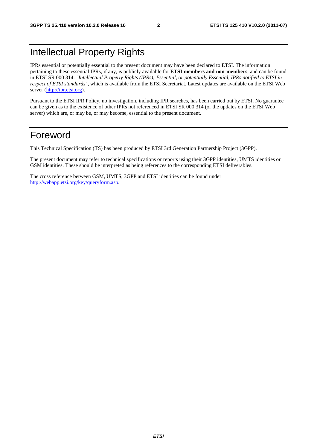# Intellectual Property Rights

IPRs essential or potentially essential to the present document may have been declared to ETSI. The information pertaining to these essential IPRs, if any, is publicly available for **ETSI members and non-members**, and can be found in ETSI SR 000 314: *"Intellectual Property Rights (IPRs); Essential, or potentially Essential, IPRs notified to ETSI in respect of ETSI standards"*, which is available from the ETSI Secretariat. Latest updates are available on the ETSI Web server ([http://ipr.etsi.org\)](http://webapp.etsi.org/IPR/home.asp).

Pursuant to the ETSI IPR Policy, no investigation, including IPR searches, has been carried out by ETSI. No guarantee can be given as to the existence of other IPRs not referenced in ETSI SR 000 314 (or the updates on the ETSI Web server) which are, or may be, or may become, essential to the present document.

# Foreword

This Technical Specification (TS) has been produced by ETSI 3rd Generation Partnership Project (3GPP).

The present document may refer to technical specifications or reports using their 3GPP identities, UMTS identities or GSM identities. These should be interpreted as being references to the corresponding ETSI deliverables.

The cross reference between GSM, UMTS, 3GPP and ETSI identities can be found under [http://webapp.etsi.org/key/queryform.asp.](http://webapp.etsi.org/key/queryform.asp)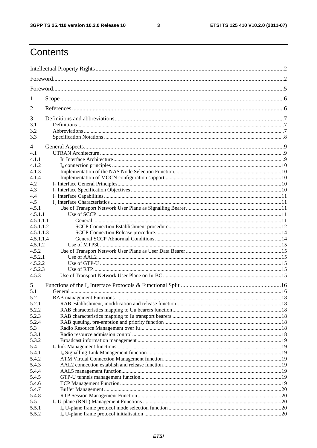$\mathbf{3}$ 

# Contents

| 1                |  |
|------------------|--|
| 2                |  |
| 3                |  |
| 3.1<br>3.2       |  |
| 3.3              |  |
| 4                |  |
| 4.1              |  |
| 4.1.1            |  |
| 4.1.2            |  |
| 4.1.3            |  |
| 4.1.4            |  |
| 4.2              |  |
| 4.3              |  |
| 4.4              |  |
| 4.5              |  |
| 4.5.1<br>4.5.1.1 |  |
| 4.5.1.1.1        |  |
| 4.5.1.1.2        |  |
| 4.5.1.1.3        |  |
| 4.5.1.1.4        |  |
| 4.5.1.2          |  |
| 4.5.2            |  |
| 4.5.2.1          |  |
| 4.5.2.2          |  |
| 4.5.2.3          |  |
| 4.5.3            |  |
| 5                |  |
| 5.1<br>5.2       |  |
| 5.2.1            |  |
| 5.2.2            |  |
| 5.2.3            |  |
| 5.2.4            |  |
| 5.3              |  |
| 5.3.1            |  |
| 5.3.2            |  |
| 5.4              |  |
| 5.4.1            |  |
| 5.4.2            |  |
| 5.4.3            |  |
| 5.4.4            |  |
| 5.4.5            |  |
| 5.4.6            |  |
| 5.4.7            |  |
| 5.4.8            |  |
| 5.5              |  |
| 5.5.1            |  |
| 5.5.2            |  |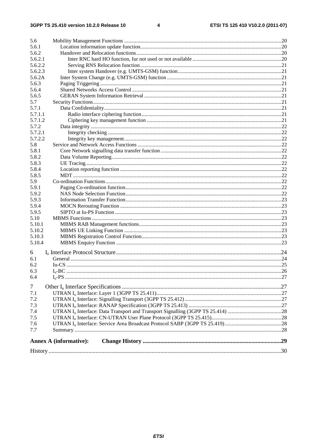| 5.6     |                               |  |
|---------|-------------------------------|--|
| 5.6.1   |                               |  |
| 5.6.2   |                               |  |
| 5.6.2.1 |                               |  |
| 5.6.2.2 |                               |  |
| 5.6.2.3 |                               |  |
| 5.6.2A  |                               |  |
| 5.6.3   |                               |  |
| 5.6.4   |                               |  |
| 5.6.5   |                               |  |
| 5.7     |                               |  |
| 5.7.1   |                               |  |
| 5.7.1.1 |                               |  |
| 5.7.1.2 |                               |  |
| 5.7.2   |                               |  |
| 5.7.2.1 |                               |  |
| 5.7.2.2 |                               |  |
| 5.8     |                               |  |
| 5.8.1   |                               |  |
| 5.8.2   |                               |  |
| 5.8.3   |                               |  |
| 5.8.4   |                               |  |
| 5.8.5   |                               |  |
| 5.9     |                               |  |
| 5.9.1   |                               |  |
| 5.9.2   |                               |  |
| 5.9.3   |                               |  |
| 5.9.4   |                               |  |
| 5.9.5   |                               |  |
| 5.10    |                               |  |
| 5.10.1  |                               |  |
| 5.10.2  |                               |  |
| 5.10.3  |                               |  |
| 5.10.4  |                               |  |
| 6       |                               |  |
| 6.1     |                               |  |
| 6.2     |                               |  |
| 6.3     |                               |  |
| 6.4     |                               |  |
|         |                               |  |
| $\tau$  |                               |  |
| 7.1     |                               |  |
| 7.2     |                               |  |
| 7.3     |                               |  |
| 7.4     |                               |  |
| 7.5     |                               |  |
| 7.6     |                               |  |
| 7.7     |                               |  |
|         | <b>Annex A (informative):</b> |  |
|         |                               |  |
|         |                               |  |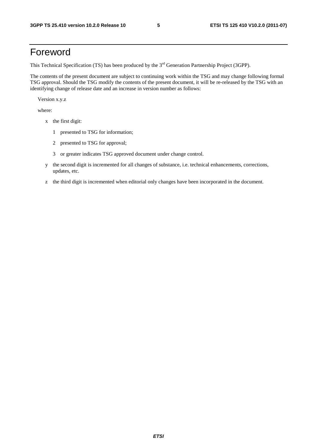# Foreword

This Technical Specification (TS) has been produced by the 3<sup>rd</sup> Generation Partnership Project (3GPP).

The contents of the present document are subject to continuing work within the TSG and may change following formal TSG approval. Should the TSG modify the contents of the present document, it will be re-released by the TSG with an identifying change of release date and an increase in version number as follows:

Version x.y.z

where:

- x the first digit:
	- 1 presented to TSG for information;
	- 2 presented to TSG for approval;
	- 3 or greater indicates TSG approved document under change control.
- y the second digit is incremented for all changes of substance, i.e. technical enhancements, corrections, updates, etc.
- z the third digit is incremented when editorial only changes have been incorporated in the document.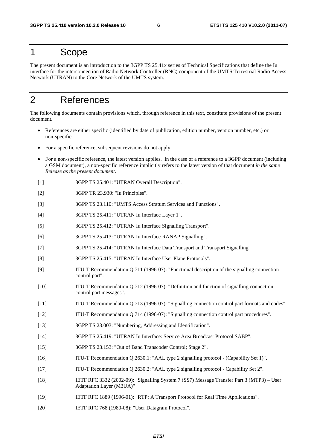### 1 Scope

The present document is an introduction to the 3GPP TS 25.41x series of Technical Specifications that define the Iu interface for the interconnection of Radio Network Controller (RNC) component of the UMTS Terrestrial Radio Access Network (UTRAN) to the Core Network of the UMTS system.

# 2 References

The following documents contain provisions which, through reference in this text, constitute provisions of the present document.

- References are either specific (identified by date of publication, edition number, version number, etc.) or non-specific.
- For a specific reference, subsequent revisions do not apply.
- For a non-specific reference, the latest version applies. In the case of a reference to a 3GPP document (including a GSM document), a non-specific reference implicitly refers to the latest version of that document *in the same Release as the present document*.
- [1] 3GPP TS 25.401: "UTRAN Overall Description".
- [2] 3GPP TR 23.930: "Iu Principles".
- [3] 3GPP TS 23.110: "UMTS Access Stratum Services and Functions".
- [4] 3GPP TS 25.411: "UTRAN Iu Interface Layer 1".
- [5] 3GPP TS 25.412: "UTRAN Iu Interface Signalling Transport".
- [6] 3GPP TS 25.413: "UTRAN Iu Interface RANAP Signalling".
- [7] 3GPP TS 25.414: "UTRAN Iu Interface Data Transport and Transport Signalling"
- [8] 3GPP TS 25.415: "UTRAN Iu Interface User Plane Protocols".
- [9] ITU-T Recommendation Q.711 (1996-07): "Functional description of the signalling connection control part".
- [10] ITU-T Recommendation Q.712 (1996-07): "Definition and function of signalling connection control part messages".
- [11] ITU-T Recommendation Q.713 (1996-07): "Signalling connection control part formats and codes".
- [12] ITU-T Recommendation Q.714 (1996-07): "Signalling connection control part procedures".
- [13] 3GPP TS 23.003: "Numbering, Addressing and Identification".
- [14] 3GPP TS 25.419: "UTRAN Iu Interface: Service Area Broadcast Protocol SABP".
- [15] 3GPP TS 23.153: "Out of Band Transcoder Control; Stage 2".
- [16] ITU-T Recommendation Q.2630.1: "AAL type 2 signalling protocol (Capability Set 1)".
- [17] ITU-T Recommendation Q.2630.2: "AAL type 2 signalling protocol Capability Set 2".
- [18] IETF RFC 3332 (2002-09): "Signalling System 7 (SS7) Message Transfer Part 3 (MTP3) User Adaptation Layer (M3UA)"
- [19] IETF RFC 1889 (1996-01): "RTP: A Transport Protocol for Real Time Applications".
- [20] IETF RFC 768 (1980-08): "User Datagram Protocol".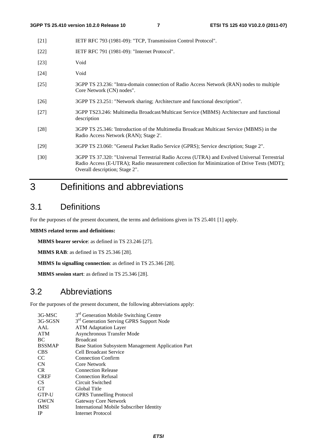| $[21]$ |  |  |  |  | IETF RFC 793 (1981-09): "TCP, Transmission Control Protocol". |  |
|--------|--|--|--|--|---------------------------------------------------------------|--|
|--------|--|--|--|--|---------------------------------------------------------------|--|

- [22] **IETF RFC 791 (1981-09): "Internet Protocol".**
- [23] Void
- [24] Void
- [25] 3GPP TS 23.236: "Intra-domain connection of Radio Access Network (RAN) nodes to multiple Core Network (CN) nodes".
- [26] 3GPP TS 23.251: "Network sharing; Architecture and functional description".
- [27] 3GPP TS23.246: Multimedia Broadcast/Multicast Service (MBMS) Architecture and functional description
- [28] 3GPP TS 25.346: 'Introduction of the Multimedia Broadcast Multicast Service (MBMS) in the Radio Access Network (RAN); Stage 2'.
- [29] 3GPP TS 23.060: "General Packet Radio Service (GPRS); Service description; Stage 2".
- [30] 3GPP TS 37.320: "Universal Terrestrial Radio Access (UTRA) and Evolved Universal Terrestrial Radio Access (E-UTRA); Radio measurement collection for Minimization of Drive Tests (MDT); Overall description; Stage 2".

# 3 Definitions and abbreviations

### 3.1 Definitions

For the purposes of the present document, the terms and definitions given in TS 25.401 [1] apply.

#### **MBMS related terms and definitions:**

**MBMS bearer service**: as defined in TS 23.246 [27].

**MBMS RAB**: as defined in TS 25.346 [28].

**MBMS Iu signalling connection**: as defined in TS 25.346 [28].

**MBMS session start**: as defined in TS 25.346 [28].

# 3.2 Abbreviations

For the purposes of the present document, the following abbreviations apply:

| 3G-MSC        | 3 <sup>rd</sup> Generation Mobile Switching Centre   |
|---------------|------------------------------------------------------|
| 3G-SGSN       | 3 <sup>rd</sup> Generation Serving GPRS Support Node |
| AAL           | <b>ATM</b> Adaptation Layer                          |
| <b>ATM</b>    | Asynchronous Transfer Mode                           |
| BC.           | <b>Broadcast</b>                                     |
| <b>BSSMAP</b> | Base Station Subsystem Management Application Part   |
| <b>CBS</b>    | Cell Broadcast Service                               |
| CC            | <b>Connection Confirm</b>                            |
| CN            | Core Network                                         |
| CR.           | <b>Connection Release</b>                            |
| <b>CREF</b>   | <b>Connection Refusal</b>                            |
| CS.           | Circuit Switched                                     |
| <b>GT</b>     | Global Title                                         |
| GTP-U         | <b>GPRS</b> Tunnelling Protocol                      |
| <b>GWCN</b>   | Gateway Core Network                                 |
| <b>IMSI</b>   | International Mobile Subscriber Identity             |
| <b>IP</b>     | <b>Internet Protocol</b>                             |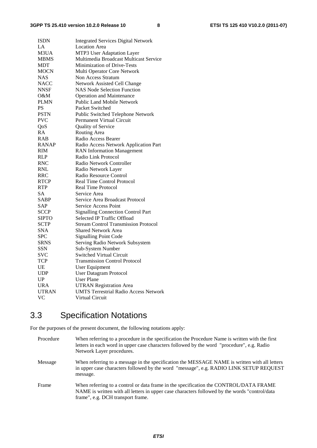| <b>ISDN</b>  | <b>Integrated Services Digital Network</b>   |
|--------------|----------------------------------------------|
| LA           | <b>Location Area</b>                         |
| M3UA         | MTP3 User Adaptation Layer                   |
| <b>MBMS</b>  | Multimedia Broadcast Multicast Service       |
| <b>MDT</b>   | Minimization of Drive-Tests                  |
| <b>MOCN</b>  | Multi Operator Core Network                  |
| NAS          | Non Access Stratum                           |
| <b>NACC</b>  | Network Assisted Cell Change                 |
| NNSF         | <b>NAS Node Selection Function</b>           |
| O&M          | <b>Operation and Maintenance</b>             |
| <b>PLMN</b>  | <b>Public Land Mobile Network</b>            |
| PS           | Packet Switched                              |
| PSTN         | Public Switched Telephone Network            |
| <b>PVC</b>   | Permanent Virtual Circuit                    |
| QoS          | Quality of Service                           |
| RA           | Routing Area                                 |
| <b>RAB</b>   | Radio Access Bearer                          |
| <b>RANAP</b> | Radio Access Network Application Part        |
| RIM          | <b>RAN</b> Information Management            |
| <b>RLP</b>   | Radio Link Protocol                          |
| <b>RNC</b>   | Radio Network Controller                     |
| <b>RNL</b>   | Radio Network Layer                          |
| RRC          | Radio Resource Control                       |
| <b>RTCP</b>  | <b>Real Time Control Protocol</b>            |
| RTP          | <b>Real Time Protocol</b>                    |
| <b>SA</b>    | Service Area                                 |
| <b>SABP</b>  | Service Area Broadcast Protocol              |
| SAP          | <b>Service Access Point</b>                  |
| <b>SCCP</b>  | <b>Signalling Connection Control Part</b>    |
| <b>SIPTO</b> | <b>Selected IP Traffic Offload</b>           |
| <b>SCTP</b>  | <b>Stream Control Transmission Protocol</b>  |
| SNA          | <b>Shared Network Area</b>                   |
| <b>SPC</b>   | <b>Signalling Point Code</b>                 |
| <b>SRNS</b>  | Serving Radio Network Subsystem              |
| SSN          | Sub-System Number                            |
| <b>SVC</b>   | <b>Switched Virtual Circuit</b>              |
| <b>TCP</b>   | <b>Transmission Control Protocol</b>         |
| UE           | User Equipment                               |
| <b>UDP</b>   | <b>User Datagram Protocol</b>                |
| UP           | <b>User Plane</b>                            |
| <b>URA</b>   | <b>UTRAN Registration Area</b>               |
| <b>UTRAN</b> | <b>UMTS Terrestrial Radio Access Network</b> |
| VC           | Virtual Circuit                              |

# 3.3 Specification Notations

For the purposes of the present document, the following notations apply:

| Procedure | When referring to a procedure in the specification the Procedure Name is written with the first<br>letters in each word in upper case characters followed by the word "procedure", e.g. Radio<br>Network Layer procedures.   |
|-----------|------------------------------------------------------------------------------------------------------------------------------------------------------------------------------------------------------------------------------|
| Message   | When referring to a message in the specification the MESSAGE NAME is written with all letters<br>in upper case characters followed by the word "message", e.g. RADIO LINK SETUP REQUEST<br>message.                          |
| Frame     | When referring to a control or data frame in the specification the CONTROL/DATA FRAME<br>NAME is written with all letters in upper case characters followed by the words "control/data"<br>frame", e.g. DCH transport frame. |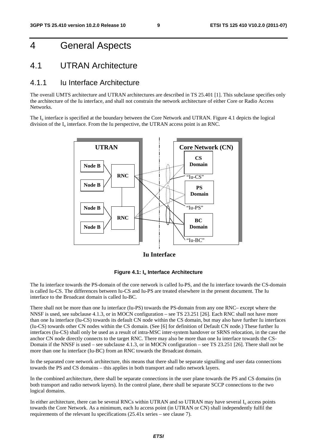# 4 General Aspects

### 4.1 UTRAN Architecture

#### 4.1.1 Iu Interface Architecture

The overall UMTS architecture and UTRAN architectures are described in TS 25.401 [1]. This subclause specifies only the architecture of the Iu interface, and shall not constrain the network architecture of either Core or Radio Access **Networks**.

The  $I_{\text{u}}$  interface is specified at the boundary between the Core Network and UTRAN. Figure 4.1 depicts the logical division of the  $I_u$  interface. From the Iu perspective, the UTRAN access point is an RNC.



**Iu Interface**



The Iu interface towards the PS-domain of the core network is called Iu-PS, and the Iu interface towards the CS-domain is called Iu-CS. The differences between Iu-CS and Iu-PS are treated elsewhere in the present document. The Iu interface to the Broadcast domain is called Iu-BC.

There shall not be more than one Iu interface (Iu-PS) towards the PS-domain from any one RNC– except where the NNSF is used, see subclause 4.1.3, or in MOCN configuration – see TS 23.251 [26]. Each RNC shall not have more than one Iu interface (Iu-CS) towards its default CN node within the CS domain, but may also have further Iu interfaces (Iu-CS) towards other CN nodes within the CS domain. (See [6] for definition of Default CN node.) These further Iu interfaces (Iu-CS) shall only be used as a result of intra-MSC inter-system handover or SRNS relocation, in the case the anchor CN node directly connects to the target RNC. There may also be more than one Iu interface towards the CS-Domain if the NNSF is used – see subclause 4.1.3, or in MOCN configuration – see TS 23.251 [26]. There shall not be more than one Iu interface (Iu-BC) from an RNC towards the Broadcast domain.

In the separated core network architecture, this means that there shall be separate signalling and user data connections towards the PS and CS domains – this applies in both transport and radio network layers.

In the combined architecture, there shall be separate connections in the user plane towards the PS and CS domains (in both transport and radio network layers). In the control plane, there shall be separate SCCP connections to the two logical domains.

In either architecture, there can be several RNCs within UTRAN and so UTRAN may have several  $I<sub>u</sub>$  access points towards the Core Network. As a minimum, each Iu access point (in UTRAN or CN) shall independently fulfil the requirements of the relevant Iu specifications (25.41x series – see clause 7).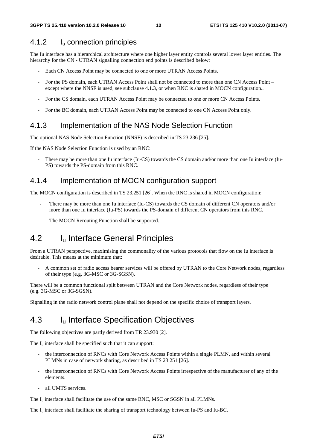#### 4.1.2 Iu connection principles

The Iu interface has a hierarchical architecture where one higher layer entity controls several lower layer entities. The hierarchy for the CN - UTRAN signalling connection end points is described below:

- Each CN Access Point may be connected to one or more UTRAN Access Points.
- For the PS domain, each UTRAN Access Point shall not be connected to more than one CN Access Point except where the NNSF is used, see subclause 4.1.3, or when RNC is shared in MOCN configuration..
- For the CS domain, each UTRAN Access Point may be connected to one or more CN Access Points.
- For the BC domain, each UTRAN Access Point may be connected to one CN Access Point only.

#### 4.1.3 Implementation of the NAS Node Selection Function

The optional NAS Node Selection Function (NNSF) is described in TS 23.236 [25].

If the NAS Node Selection Function is used by an RNC:

There may be more than one Iu interface (Iu-CS) towards the CS domain and/or more than one Iu interface (Iu-PS) towards the PS-domain from this RNC.

#### 4.1.4 Implementation of MOCN configuration support

The MOCN configuration is described in TS 23.251 [26]. When the RNC is shared in MOCN configuration:

- There may be more than one Iu interface (Iu-CS) towards the CS domain of different CN operators and/or more than one Iu interface (Iu-PS) towards the PS-domain of different CN operators from this RNC.
- The MOCN Rerouting Function shall be supported.

### 4.2 I<sub>u</sub> Interface General Principles

From a UTRAN perspective, maximising the commonality of the various protocols that flow on the Iu interface is desirable. This means at the minimum that:

- A common set of radio access bearer services will be offered by UTRAN to the Core Network nodes, regardless of their type (e.g. 3G-MSC or 3G-SGSN).

There will be a common functional split between UTRAN and the Core Network nodes, regardless of their type (e.g. 3G-MSC or 3G-SGSN).

Signalling in the radio network control plane shall not depend on the specific choice of transport layers.

### 4.3 I<sub>u</sub> Interface Specification Objectives

The following objectives are partly derived from TR 23.930 [2].

The  $I_{\rm u}$  interface shall be specified such that it can support:

- the interconnection of RNCs with Core Network Access Points within a single PLMN, and within several PLMNs in case of network sharing, as described in TS 23.251 [26].
- the interconnection of RNCs with Core Network Access Points irrespective of the manufacturer of any of the elements.
- all UMTS services.

The  $I<sub>u</sub>$  interface shall facilitate the use of the same RNC, MSC or SGSN in all PLMNs.

The  $I_{\text{u}}$  interface shall facilitate the sharing of transport technology between Iu-PS and Iu-BC.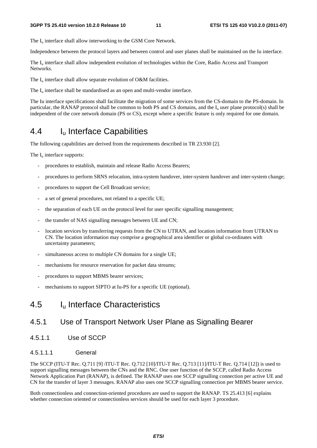The I<sub>u</sub> interface shall allow interworking to the GSM Core Network.

Independence between the protocol layers and between control and user planes shall be maintained on the Iu interface.

The I<sub>u</sub> interface shall allow independent evolution of technologies within the Core, Radio Access and Transport Networks.

The  $I_u$  interface shall allow separate evolution of O&M facilities.

The  $I_{\text{u}}$  interface shall be standardised as an open and multi-vendor interface.

The Iu interface specifications shall facilitate the migration of some services from the CS-domain to the PS-domain. In particular, the RANAP protocol shall be common to both PS and CS domains, and the  $I<sub>u</sub>$  user plane protocol(s) shall be independent of the core network domain (PS or CS), except where a specific feature is only required for one domain.

## 4.4 I<sub>u</sub> Interface Capabilities

The following capabilities are derived from the requirements described in TR 23.930 [2].

The  $I_{\nu}$  interface supports:

- procedures to establish, maintain and release Radio Access Bearers;
- procedures to perform SRNS relocation, intra-system handover, inter-system handover and inter-system change;
- procedures to support the Cell Broadcast service;
- a set of general procedures, not related to a specific UE;
- the separation of each UE on the protocol level for user specific signalling management;
- the transfer of NAS signalling messages between UE and CN;
- location services by transferring requests from the CN to UTRAN, and location information from UTRAN to CN. The location information may comprise a geographical area identifier or global co-ordinates with uncertainty parameters;
- simultaneous access to multiple CN domains for a single UE;
- mechanisms for resource reservation for packet data streams;
- procedures to support MBMS bearer services;
- mechanisms to support SIPTO at Iu-PS for a specific UE (optional).

### 4.5 Iu Interface Characteristics

#### 4.5.1 Use of Transport Network User Plane as Signalling Bearer

4.5.1.1 Use of SCCP

#### 4.5.1.1.1 General

The SCCP (ITU-T Rec. Q.711 [9] /ITU-T Rec. Q.712 [10]/ITU-T Rec. Q.713 [11]/ITU-T Rec. Q.714 [12]) is used to support signalling messages between the CNs and the RNC. One user function of the SCCP, called Radio Access Network Application Part (RANAP), is defined. The RANAP uses one SCCP signalling connection per active UE and CN for the transfer of layer 3 messages. RANAP also uses one SCCP signalling connection per MBMS bearer service.

Both connectionless and connection-oriented procedures are used to support the RANAP. TS 25.413 [6] explains whether connection oriented or connectionless services should be used for each layer 3 procedure.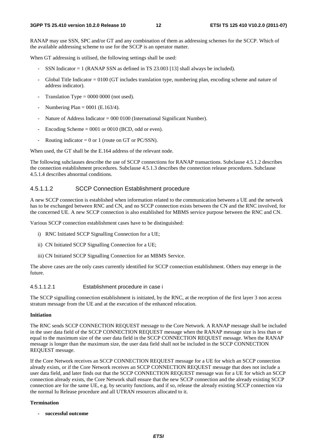RANAP may use SSN, SPC and/or GT and any combination of them as addressing schemes for the SCCP. Which of the available addressing scheme to use for the SCCP is an operator matter.

When GT addressing is utilised, the following settings shall be used:

- SSN Indicator  $= 1$  (RANAP SSN as defined in TS 23.003 [13] shall always be included).
- Global Title Indicator = 0100 (GT includes translation type, numbering plan, encoding scheme and nature of address indicator).
- Translation Type  $= 0000 0000$  (not used).
- Numbering Plan =  $0001$  (E.163/4).
- Nature of Address Indicator =  $000\,0100$  (International Significant Number).
- Encoding Scheme  $= 0001$  or 0010 (BCD, odd or even).
- Routing indicator =  $0$  or 1 (route on GT or PC/SSN).

When used, the GT shall be the E.164 address of the relevant node.

The following subclauses describe the use of SCCP connections for RANAP transactions. Subclause 4.5.1.2 describes the connection establishment procedures. Subclause 4.5.1.3 describes the connection release procedures. Subclause 4.5.1.4 describes abnormal conditions.

#### 4.5.1.1.2 SCCP Connection Establishment procedure

A new SCCP connection is established when information related to the communication between a UE and the network has to be exchanged between RNC and CN, and no SCCP connection exists between the CN and the RNC involved, for the concerned UE. A new SCCP connection is also established for MBMS service purpose between the RNC and CN.

Various SCCP connection establishment cases have to be distinguished:

- i) RNC Initiated SCCP Signalling Connection for a UE;
- ii) CN Initiated SCCP Signalling Connection for a UE;
- iii) CN Initiated SCCP Signalling Connection for an MBMS Service.

The above cases are the only cases currently identified for SCCP connection establishment. Others may emerge in the future.

#### 4.5.1.1.2.1 Establishment procedure in case i

The SCCP signalling connection establishment is initiated, by the RNC, at the reception of the first layer 3 non access stratum message from the UE and at the execution of the enhanced relocation.

#### **Initiation**

The RNC sends SCCP CONNECTION REQUEST message to the Core Network. A RANAP message shall be included in the user data field of the SCCP CONNECTION REQUEST message when the RANAP message size is less than or equal to the maximum size of the user data field in the SCCP CONNECTION REQUEST message. When the RANAP message is longer than the maximum size, the user data field shall not be included in the SCCP CONNECTION REQUEST message.

If the Core Network receives an SCCP CONNECTION REQUEST message for a UE for which an SCCP connection already exists, or if the Core Network receives an SCCP CONNECTION REQUEST message that does not include a user data field, and later finds out that the SCCP CONNECTION REQUEST message was for a UE for which an SCCP connection already exists, the Core Network shall ensure that the new SCCP connection and the already existing SCCP connection are for the same UE, e.g. by security functions, and if so, release the already existing SCCP connection via the normal Iu Release procedure and all UTRAN resources allocated to it.

#### **Termination**

**- successful outcome**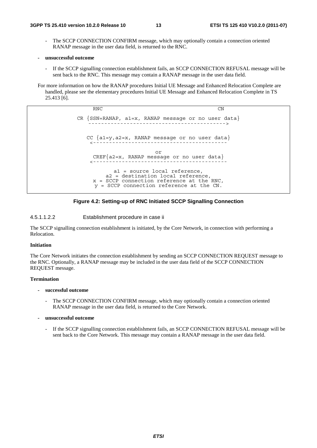- The SCCP CONNECTION CONFIRM message, which may optionally contain a connection oriented RANAP message in the user data field, is returned to the RNC.
- **unsuccessful outcome** 
	- If the SCCP signalling connection establishment fails, an SCCP CONNECTION REFUSAL message will be sent back to the RNC. This message may contain a RANAP message in the user data field.

For more information on how the RANAP procedures Initial UE Message and Enhanced Relocation Complete are handled, please see the elementary procedures Initial UE Message and Enhanced Relocation Complete in TS 25.413 [6].

> RNC CN CR  ${SSN=RANAP, a1=x, RANAP message or no user data}$ CC {a1=y,a2=x, RANAP message or no user data} <----------------------------------------- or CREF{a2=x, RANAP message or no user data} <----------------------------------------- a1 = source local reference, a2 = destination local reference,  $x =$  SCCP connection reference at the RNC, y = SCCP connection reference at the CN.



4.5.1.1.2.2 Establishment procedure in case ii

The SCCP signalling connection establishment is initiated, by the Core Network, in connection with performing a Relocation.

#### **Initiation**

The Core Network initiates the connection establishment by sending an SCCP CONNECTION REQUEST message to the RNC. Optionally, a RANAP message may be included in the user data field of the SCCP CONNECTION REQUEST message.

#### **Termination**

- **successful outcome** 
	- The SCCP CONNECTION CONFIRM message, which may optionally contain a connection oriented RANAP message in the user data field, is returned to the Core Network.
- **unsuccessful outcome** 
	- If the SCCP signalling connection establishment fails, an SCCP CONNECTION REFUSAL message will be sent back to the Core Network. This message may contain a RANAP message in the user data field.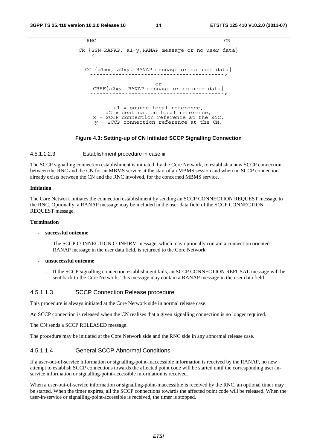```
RNC CN
CR \n{SSN=RANAP, al=y, RANAP message or no user data}CC \{a1=x, a2=y, RANAP message or no user data\}or 
    CREF{a2=y, RANAP message or no user data} 
                      ------------------------------------------> 
          a1 = source local reference, 
        a2 = destination local reference, 
    x = SCCP connection reference at the RNC, 
    y = SCCP connection reference at the CN.
```
#### **Figure 4.3: Setting-up of CN Initiated SCCP Signalling Connection**

#### 4.5.1.1.2.3 Establishment procedure in case iii

The SCCP signalling connection establishment is initiated, by the Core Network, to establish a new SCCP connection between the RNC and the CN for an MBMS service at the start of an MBMS session and when no SCCP connection already exists between the CN and the RNC involved, for the concerned MBMS service.

#### **Initiation**

The Core Network initiates the connection establishment by sending an SCCP CONNECTION REQUEST message to the RNC. Optionally, a RANAP message may be included in the user data field of the SCCP CONNECTION REQUEST message.

#### **Termination**

#### **- successful outcome**

- The SCCP CONNECTION CONFIRM message, which may optionally contain a connection oriented RANAP message in the user data field, is returned to the Core Network.
- **unsuccessful outcome** 
	- If the SCCP signalling connection establishment fails, an SCCP CONNECTION REFUSAL message will be sent back to the Core Network. This message may contain a RANAP message in the user data field.

#### 4.5.1.1.3 SCCP Connection Release procedure

This procedure is always initiated at the Core Network side in normal release case.

An SCCP connection is released when the CN realises that a given signalling connection is no longer required.

The CN sends a SCCP RELEASED message.

The procedure may be initiated at the Core Network side and the RNC side in any abnormal release case.

#### 4.5.1.1.4 General SCCP Abnormal Conditions

If a user-out-of-service information or signalling-point-inaccessible information is received by the RANAP, no new attempt to establish SCCP connections towards the affected point code will be started until the corresponding user-inservice information or signalling-point-accessible information is received.

When a user-out-of-service information or signalling-point-inaccessible is received by the RNC, an optional timer may be started. When the timer expires, all the SCCP connections towards the affected point code will be released. When the user-in-service or signalling-point-accessible is received, the timer is stopped.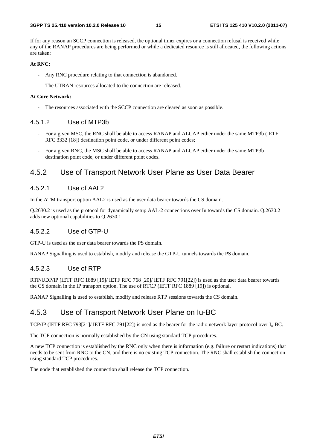If for any reason an SCCP connection is released, the optional timer expires or a connection refusal is received while any of the RANAP procedures are being performed or while a dedicated resource is still allocated, the following actions are taken:

#### **At RNC:**

- Any RNC procedure relating to that connection is abandoned.
- The UTRAN resources allocated to the connection are released.

#### **At Core Network:**

The resources associated with the SCCP connection are cleared as soon as possible.

#### 4.5.1.2 Use of MTP3b

- For a given MSC, the RNC shall be able to access RANAP and ALCAP either under the same MTP3b (IETF RFC 3332 [18]) destination point code, or under different point codes;
- For a given RNC, the MSC shall be able to access RANAP and ALCAP either under the same MTP3b destination point code, or under different point codes.

#### 4.5.2 Use of Transport Network User Plane as User Data Bearer

#### 4.5.2.1 Use of AAL2

In the ATM transport option AAL2 is used as the user data bearer towards the CS domain.

Q.2630.2 is used as the protocol for dynamically setup AAL-2 connections over Iu towards the CS domain. Q.2630.2 adds new optional capabilities to Q.2630.1.

#### 4.5.2.2 Use of GTP-U

GTP-U is used as the user data bearer towards the PS domain.

RANAP Signalling is used to establish, modify and release the GTP-U tunnels towards the PS domain.

#### 4.5.2.3 Use of RTP

RTP/UDP/IP (IETF RFC 1889 [19]/ IETF RFC 768 [20]/ IETF RFC 791[22]) is used as the user data bearer towards the CS domain in the IP transport option. The use of RTCP (IETF RFC 1889 [19]) is optional.

RANAP Signalling is used to establish, modify and release RTP sessions towards the CS domain.

#### 4.5.3 Use of Transport Network User Plane on Iu-BC

TCP/IP (IETF RFC 793[21]/ IETF RFC 791[22]) is used as the bearer for the radio network layer protocol over  $I_{u}$ -BC.

The TCP connection is normally established by the CN using standard TCP procedures.

A new TCP connection is established by the RNC only when there is information (e.g. failure or restart indications) that needs to be sent from RNC to the CN, and there is no existing TCP connection. The RNC shall establish the connection using standard TCP procedures.

The node that established the connection shall release the TCP connection.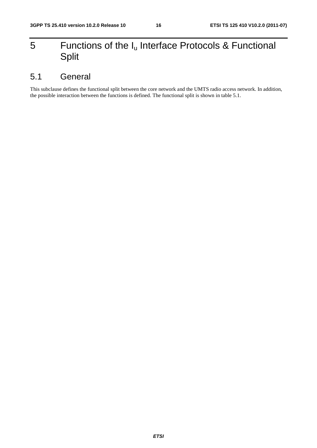# 5 Functions of the  $I_u$  Interface Protocols & Functional Split

# 5.1 General

This subclause defines the functional split between the core network and the UMTS radio access network. In addition, the possible interaction between the functions is defined. The functional split is shown in table 5.1.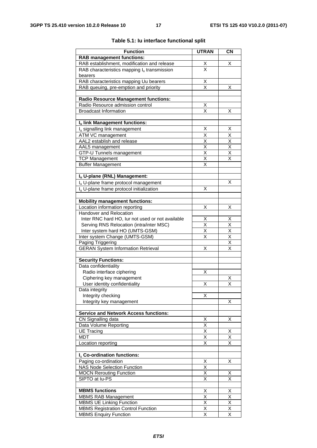| <b>Function</b>                                                                              | <b>UTRAN</b>                 | <b>CN</b>                    |
|----------------------------------------------------------------------------------------------|------------------------------|------------------------------|
| <b>RAB management functions:</b>                                                             |                              |                              |
| RAB establishment, modification and release                                                  |                              | х                            |
| RAB characteristics mapping $I_u$ transmission                                               | $\frac{x}{x}$                |                              |
| bearers                                                                                      |                              |                              |
| RAB characteristics mapping Uu bearers                                                       |                              |                              |
| RAB queuing, pre-emption and priority                                                        | $\frac{X}{X}$                | X                            |
|                                                                                              |                              |                              |
| <b>Radio Resource Management functions:</b>                                                  |                              |                              |
| Radio Resource admission control                                                             | <u>Х</u>                     |                              |
| <b>Broadcast Information</b>                                                                 | $\overline{\mathsf{x}}$      | X                            |
| Iu link Management functions:                                                                |                              |                              |
| I <sub>u</sub> signalling link management                                                    | х                            | Х                            |
| ATM VC management                                                                            | Χ                            | Χ                            |
| AAL2 establish and release                                                                   | $\overline{\mathsf{x}}$      | $\overline{\mathsf{x}}$      |
| AAL5 management                                                                              | $\overline{\mathsf{x}}$      | $\overline{\mathsf{x}}$      |
| GTP-U Tunnels management                                                                     | X                            | Χ                            |
| <b>TCP Management</b>                                                                        | X                            | X                            |
| <b>Buffer Management</b>                                                                     | X                            |                              |
|                                                                                              |                              |                              |
| Iu U-plane (RNL) Management:                                                                 |                              |                              |
| Iu U-plane frame protocol management                                                         |                              | x                            |
| I <sub>u</sub> U-plane frame protocol initialization                                         | Χ                            |                              |
|                                                                                              |                              |                              |
| <b>Mobility management functions:</b>                                                        |                              |                              |
| Location information reporting                                                               | Χ                            | х                            |
| Handover and Relocation                                                                      |                              |                              |
| Inter RNC hard HO, lur not used or not available<br>Serving RNS Relocation (intra/inter MSC) | X<br>$\overline{\mathsf{x}}$ | X<br>$\overline{\mathsf{x}}$ |
| Inter system hard HO (UMTS-GSM)                                                              | $\overline{\mathsf{x}}$      | $\overline{\mathsf{x}}$      |
| Inter system Change (UMTS-GSM)                                                               | X                            | X                            |
| Paging Triggering                                                                            |                              | $\overline{\mathsf{x}}$      |
| <b>GERAN System Information Retrieval</b>                                                    | Χ                            | X                            |
|                                                                                              |                              |                              |
| <b>Security Functions:</b>                                                                   |                              |                              |
| Data confidentiality                                                                         |                              |                              |
| Radio interface ciphering                                                                    | Χ                            |                              |
| Ciphering key management                                                                     |                              | X<br>$\overline{\mathsf{x}}$ |
| User identity confidentiality<br>Data integrity                                              | X                            |                              |
| Integrity checking                                                                           | Χ                            |                              |
| Integrity key management                                                                     |                              | х                            |
|                                                                                              |                              |                              |
| <b>Service and Network Access functions:</b>                                                 |                              |                              |
| CN Signalling data                                                                           | $\frac{X}{X}$                | Χ                            |
| Data Volume Reporting                                                                        |                              |                              |
| <b>UE Tracing</b>                                                                            | X                            | Χ                            |
| <b>MDT</b>                                                                                   | X                            | Χ                            |
| Location reporting                                                                           | Χ                            | X                            |
|                                                                                              |                              |                              |
| I <sub>u</sub> Co-ordination functions:                                                      |                              |                              |
| Paging co-ordination<br>NAS Node Selection Function                                          | Χ<br>$\overline{\mathsf{x}}$ | X                            |
| <b>MOCN Rerouting Function</b>                                                               | Χ                            | х                            |
| SIPTO at lu-PS                                                                               | X                            | X                            |
|                                                                                              |                              |                              |
| <b>MBMS</b> functions                                                                        | Χ                            | Χ                            |
| <b>MBMS RAB Management</b>                                                                   | $\overline{\mathsf{x}}$      | $\overline{\mathsf{x}}$      |
| <b>MBMS UE Linking Function</b>                                                              | $\overline{\mathsf{x}}$      | $\overline{\mathsf{x}}$      |
| <b>MBMS Registration Control Function</b>                                                    | $\overline{\mathsf{x}}$      | $\overline{\mathsf{x}}$      |
| <b>MBMS Enquiry Function</b>                                                                 | Χ                            | X                            |

#### **Table 5.1: Iu interface functional split**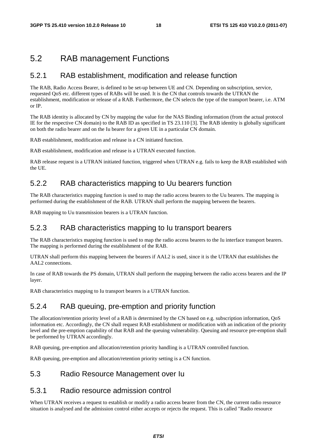### 5.2 RAB management Functions

#### 5.2.1 RAB establishment, modification and release function

The RAB, Radio Access Bearer, is defined to be set-up between UE and CN. Depending on subscription, service, requested QoS etc. different types of RABs will be used. It is the CN that controls towards the UTRAN the establishment, modification or release of a RAB. Furthermore, the CN selects the type of the transport bearer, i.e. ATM or IP.

The RAB identity is allocated by CN by mapping the value for the NAS Binding information (from the actual protocol IE for the respective CN domain) to the RAB ID as specified in TS 23.110 [3]. The RAB identity is globally significant on both the radio bearer and on the Iu bearer for a given UE in a particular CN domain.

RAB establishment, modification and release is a CN initiated function.

RAB establishment, modification and release is a UTRAN executed function.

RAB release request is a UTRAN initiated function, triggered when UTRAN e.g. fails to keep the RAB established with the UE.

#### 5.2.2 RAB characteristics mapping to Uu bearers function

The RAB characteristics mapping function is used to map the radio access bearers to the Uu bearers. The mapping is performed during the establishment of the RAB. UTRAN shall perform the mapping between the bearers.

RAB mapping to Uu transmission bearers is a UTRAN function.

#### 5.2.3 RAB characteristics mapping to Iu transport bearers

The RAB characteristics mapping function is used to map the radio access bearers to the Iu interface transport bearers. The mapping is performed during the establishment of the RAB.

UTRAN shall perform this mapping between the bearers if AAL2 is used, since it is the UTRAN that establishes the AAL2 connections.

In case of RAB towards the PS domain, UTRAN shall perform the mapping between the radio access bearers and the IP layer.

RAB characteristics mapping to Iu transport bearers is a UTRAN function.

#### 5.2.4 RAB queuing, pre-emption and priority function

The allocation/retention priority level of a RAB is determined by the CN based on e.g. subscription information, QoS information etc. Accordingly, the CN shall request RAB establishment or modification with an indication of the priority level and the pre-emption capability of that RAB and the queuing vulnerability. Queuing and resource pre-emption shall be performed by UTRAN accordingly.

RAB queuing, pre-emption and allocation/retention priority handling is a UTRAN controlled function.

RAB queuing, pre-emption and allocation/retention priority setting is a CN function.

#### 5.3 Radio Resource Management over Iu

#### 5.3.1 Radio resource admission control

When UTRAN receives a request to establish or modify a radio access bearer from the CN, the current radio resource situation is analysed and the admission control either accepts or rejects the request. This is called "Radio resource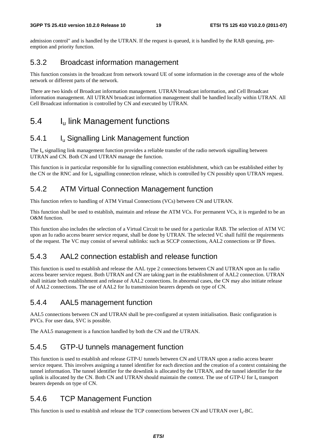admission control" and is handled by the UTRAN. If the request is queued, it is handled by the RAB queuing, preemption and priority function.

#### 5.3.2 Broadcast information management

This function consists in the broadcast from network toward UE of some information in the coverage area of the whole network or different parts of the network.

There are two kinds of Broadcast information management. UTRAN broadcast information, and Cell Broadcast information management. All UTRAN broadcast information management shall be handled locally within UTRAN. All Cell Broadcast information is controlled by CN and executed by UTRAN.

### 5.4 Iu link Management functions

### 5.4.1 Iu Signalling Link Management function

The  $I<sub>u</sub>$  signalling link management function provides a reliable transfer of the radio network signalling between UTRAN and CN. Both CN and UTRAN manage the function.

This function is in particular responsible for Iu signalling connection establishment, which can be established either by the CN or the RNC and for  $I_{\text{u}}$  signalling connection release, which is controlled by CN possibly upon UTRAN request.

#### 5.4.2 ATM Virtual Connection Management function

This function refers to handling of ATM Virtual Connections (VCs) between CN and UTRAN.

This function shall be used to establish, maintain and release the ATM VCs. For permanent VCs, it is regarded to be an O&M function.

This function also includes the selection of a Virtual Circuit to be used for a particular RAB. The selection of ATM VC upon an Iu radio access bearer service request, shall be done by UTRAN. The selected VC shall fulfil the requirements of the request. The VC may consist of several sublinks: such as SCCP connections, AAL2 connections or IP flows.

### 5.4.3 AAL2 connection establish and release function

This function is used to establish and release the AAL type 2 connections between CN and UTRAN upon an Iu radio access bearer service request. Both UTRAN and CN are taking part in the establishment of AAL2 connection. UTRAN shall initiate both establishment and release of AAL2 connections. In abnormal cases, the CN may also initiate release of AAL2 connections. The use of AAL2 for Iu transmission bearers depends on type of CN.

#### 5.4.4 AAL5 management function

AAL5 connections between CN and UTRAN shall be pre-configured at system initialisation. Basic configuration is PVCs. For user data, SVC is possible.

The AAL5 management is a function handled by both the CN and the UTRAN.

### 5.4.5 GTP-U tunnels management function

This function is used to establish and release GTP-U tunnels between CN and UTRAN upon a radio access bearer service request. This involves assigning a tunnel identifier for each direction and the creation of a context containing the tunnel information. The tunnel identifier for the downlink is allocated by the UTRAN, and the tunnel identifier for the uplink is allocated by the CN. Both CN and UTRAN should maintain the context. The use of GTP-U for  $I<sub>u</sub>$  transport bearers depends on type of CN.

### 5.4.6 TCP Management Function

This function is used to establish and release the TCP connections between CN and UTRAN over  $I_n$ -BC.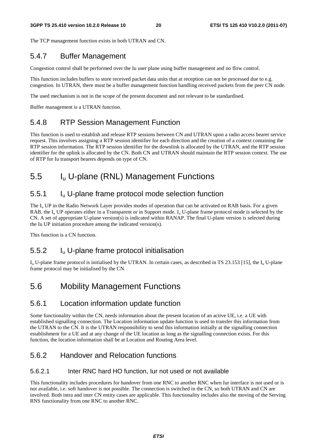The TCP management function exists in both UTRAN and CN.

### 5.4.7 Buffer Management

Congestion control shall be performed over the Iu user plane using buffer management and no flow control.

This function includes buffers to store received packet data units that at reception can not be processed due to e.g. congestion. In UTRAN, there must be a buffer management function handling received packets from the peer CN node.

The used mechanism is not in the scope of the present document and not relevant to be standardised.

Buffer management is a UTRAN function.

### 5.4.8 RTP Session Management Function

This function is used to establish and release RTP sessions between CN and UTRAN upon a radio access bearer service request. This involves assigning a RTP session identifier for each direction and the creation of a context containing the RTP session information. The RTP session identifier for the downlink is allocated by the UTRAN, and the RTP session identifier for the uplink is allocated by the CN. Both CN and UTRAN should maintain the RTP session context. The use of RTP for Iu transport bearers depends on type of CN.

# 5.5 Iu U-plane (RNL) Management Functions

### 5.5.1 Iu U-plane frame protocol mode selection function

The  $I_{\rm u}$  UP in the Radio Network Layer provides modes of operation that can be activated on RAB basis. For a given RAB, the  $I_{\rm u}$  UP operates either in a Transparent or in Support mode.  $I_{\rm u}$  U-plane frame protocol mode is selected by the CN. A set of appropriate U-plane version(s) is indicated within RANAP. The final U-plane version is selected during the Iu UP initiation procedure among the indicated version(s).

This function is a CN function.

#### 5.5.2 Iu U-plane frame protocol initialisation

 $I_{\rm u}$  U-plane frame protocol is initialised by the UTRAN. In certain cases, as described in TS 23.153 [15], the  $I_{\rm u}$  U-plane frame protocol may be initialised by the CN.

# 5.6 Mobility Management Functions

### 5.6.1 Location information update function

Some functionality within the CN, needs information about the present location of an active UE, i.e. a UE with established signalling connection. The Location information update function is used to transfer this information from the UTRAN to the CN. It is the UTRAN responsibility to send this information initially at the signalling connection establishment for a UE and at any change of the UE location as long as the signalling connection exists. For this function, the location information shall be at Location and Routing Area level.

#### 5.6.2 Handover and Relocation functions

#### 5.6.2.1 Inter RNC hard HO function, Iur not used or not available

This functionality includes procedures for handover from one RNC to another RNC when Iur interface is not used or is not available, i.e. soft handover is not possible. The connection is switched in the CN, so both UTRAN and CN are involved. Both intra and inter CN entity cases are applicable. This functionality includes also the moving of the Serving RNS functionality from one RNC to another RNC.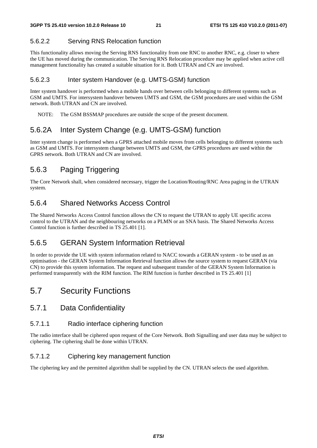#### 5.6.2.2 Serving RNS Relocation function

This functionality allows moving the Serving RNS functionality from one RNC to another RNC, e.g. closer to where the UE has moved during the communication. The Serving RNS Relocation procedure may be applied when active cell management functionality has created a suitable situation for it. Both UTRAN and CN are involved.

#### 5.6.2.3 Inter system Handover (e.g. UMTS-GSM) function

Inter system handover is performed when a mobile hands over between cells belonging to different systems such as GSM and UMTS. For intersystem handover between UMTS and GSM, the GSM procedures are used within the GSM network. Both UTRAN and CN are involved.

NOTE: The GSM BSSMAP procedures are outside the scope of the present document.

### 5.6.2A Inter System Change (e.g. UMTS-GSM) function

Inter system change is performed when a GPRS attached mobile moves from cells belonging to different systems such as GSM and UMTS. For intersystem change between UMTS and GSM, the GPRS procedures are used within the GPRS network. Both UTRAN and CN are involved.

### 5.6.3 Paging Triggering

The Core Network shall, when considered necessary, trigger the Location/Routing/RNC Area paging in the UTRAN system.

#### 5.6.4 Shared Networks Access Control

The Shared Networks Access Control function allows the CN to request the UTRAN to apply UE specific access control to the UTRAN and the neighbouring networks on a PLMN or an SNA basis. The Shared Networks Access Control function is further described in TS 25.401 [1].

### 5.6.5 GERAN System Information Retrieval

In order to provide the UE with system information related to NACC towards a GERAN system - to be used as an optimisation - the GERAN System Information Retrieval function allows the source system to request GERAN (via CN) to provide this system information. The request and subsequent transfer of the GERAN System Information is performed transparently with the RIM function. The RIM function is further described in TS 25.401 [1]

### 5.7 Security Functions

#### 5.7.1 Data Confidentiality

#### 5.7.1.1 Radio interface ciphering function

The radio interface shall be ciphered upon request of the Core Network. Both Signalling and user data may be subject to ciphering. The ciphering shall be done within UTRAN.

#### 5.7.1.2 Ciphering key management function

The ciphering key and the permitted algorithm shall be supplied by the CN. UTRAN selects the used algorithm.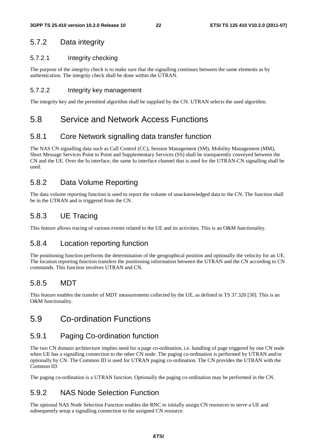#### 5.7.2 Data integrity

#### 5.7.2.1 Integrity checking

The purpose of the integrity check is to make sure that the signalling continues between the same elements as by authentication. The integrity check shall be done within the UTRAN.

#### 5.7.2.2 Integrity key management

The integrity key and the permitted algorithm shall be supplied by the CN. UTRAN selects the used algorithm.

### 5.8 Service and Network Access Functions

#### 5.8.1 Core Network signalling data transfer function

The NAS CN signalling data such as Call Control (CC), Session Management (SM), Mobility Management (MM), Short Message Services Point to Point and Supplementary Services (SS) shall be transparently conveyed between the CN and the UE. Over the Iu interface, the same Iu interface channel that is used for the UTRAN-CN signalling shall be used.

### 5.8.2 Data Volume Reporting

The data volume reporting function is used to report the volume of unacknowledged data to the CN. The function shall be in the UTRAN and is triggered from the CN.

### 5.8.3 UE Tracing

This feature allows tracing of various events related to the UE and its activities. This is an O&M functionality.

#### 5.8.4 Location reporting function

The positioning function performs the determination of the geographical position and optionally the velocity for an UE. The location reporting function transfers the positioning information between the UTRAN and the CN according to CN commands. This function involves UTRAN and CN.

#### 5.8.5 MDT

This feature enables the transfer of MDT measurements collected by the UE, as defined in TS 37.320 [30]. This is an O&M functionality.

### 5.9 Co-ordination Functions

### 5.9.1 Paging Co-ordination function

The two CN domain architecture implies need for a page co-ordination, i.e. handling of page triggered by one CN node when UE has a signalling connection to the other CN node. The paging co-ordination is performed by UTRAN and/or optionally by CN. The Common ID is used for UTRAN paging co-ordination. The CN provides the UTRAN with the Common ID.

The paging co-ordination is a UTRAN function. Optionally the paging co-ordination may be performed in the CN.

#### 5.9.2 NAS Node Selection Function

The optional NAS Node Selection Function enables the RNC to initially assign CN resources to serve a UE and subsequently setup a signalling connection to the assigned CN resource.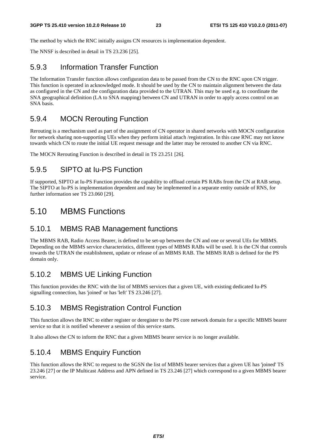The method by which the RNC initially assigns CN resources is implementation dependent.

The NNSF is described in detail in TS 23.236 [25].

#### 5.9.3 Information Transfer Function

The Information Transfer function allows configuration data to be passed from the CN to the RNC upon CN trigger. This function is operated in acknowledged mode. It should be used by the CN to maintain alignment between the data as configured in the CN and the configuration data provided to the UTRAN. This may be used e.g. to coordinate the SNA geographical definition (LA to SNA mapping) between CN and UTRAN in order to apply access control on an SNA basis.

#### 5.9.4 MOCN Rerouting Function

Rerouting is a mechanism used as part of the assignment of CN operator in shared networks with MOCN configuration for network sharing non-supporting UEs when they perform initial attach /registration. In this case RNC may not know towards which CN to route the initial UE request message and the latter may be rerouted to another CN via RNC.

The MOCN Rerouting Function is described in detail in TS 23.251 [26].

#### 5.9.5 SIPTO at Iu-PS Function

If supported, SIPTO at Iu-PS Function provides the capability to offload certain PS RABs from the CN at RAB setup. The SIPTO at Iu-PS is implementation dependent and may be implemented in a separate entity outside of RNS, for further information see TS 23.060 [29].

### 5.10 MBMS Functions

#### 5.10.1 MBMS RAB Management functions

The MBMS RAB, Radio Access Bearer, is defined to be set-up between the CN and one or several UEs for MBMS. Depending on the MBMS service characteristics, different types of MBMS RABs will be used. It is the CN that controls towards the UTRAN the establishment, update or release of an MBMS RAB. The MBMS RAB is defined for the PS domain only.

### 5.10.2 MBMS UE Linking Function

This function provides the RNC with the list of MBMS services that a given UE, with existing dedicated Iu-PS signalling connection, has 'joined' or has 'left' TS 23.246 [27].

### 5.10.3 MBMS Registration Control Function

This function allows the RNC to either register or deregister to the PS core network domain for a specific MBMS bearer service so that it is notified whenever a session of this service starts.

It also allows the CN to inform the RNC that a given MBMS bearer service is no longer available.

### 5.10.4 MBMS Enquiry Function

This function allows the RNC to request to the SGSN the list of MBMS bearer services that a given UE has 'joined' TS 23.246 [27] or the IP Multicast Address and APN defined in TS 23.246 [27] which correspond to a given MBMS bearer service.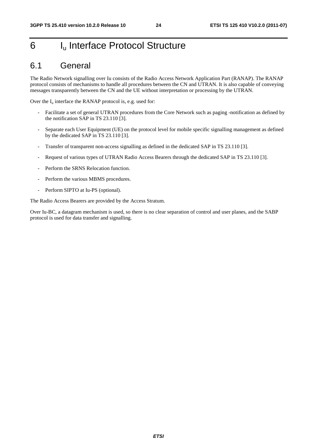# 6 I<sub>u</sub> Interface Protocol Structure

### 6.1 General

The Radio Network signalling over Iu consists of the Radio Access Network Application Part (RANAP). The RANAP protocol consists of mechanisms to handle all procedures between the CN and UTRAN. It is also capable of conveying messages transparently between the CN and the UE without interpretation or processing by the UTRAN.

Over the  $I_u$  interface the RANAP protocol is, e.g. used for:

- Facilitate a set of general UTRAN procedures from the Core Network such as paging -notification as defined by the notification SAP in TS 23.110 [3].
- Separate each User Equipment (UE) on the protocol level for mobile specific signalling management as defined by the dedicated SAP in TS 23.110 [3].
- Transfer of transparent non-access signalling as defined in the dedicated SAP in TS 23.110 [3].
- Request of various types of UTRAN Radio Access Bearers through the dedicated SAP in TS 23.110 [3].
- Perform the SRNS Relocation function.
- Perform the various MBMS procedures.
- Perform SIPTO at Iu-PS (optional).

The Radio Access Bearers are provided by the Access Stratum.

Over Iu-BC, a datagram mechanism is used, so there is no clear separation of control and user planes, and the SABP protocol is used for data transfer and signalling.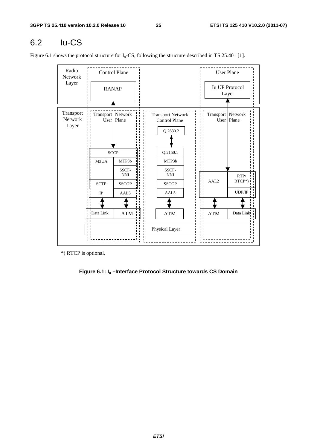# 6.2 Iu-CS

Figure 6.1 shows the protocol structure for  $I_u$ -CS, following the structure described in TS 25.401 [1].

| Radio<br>Network              |                             | <b>Control Plane</b> |                                                              |                |                             | <b>User Plane</b>              |
|-------------------------------|-----------------------------|----------------------|--------------------------------------------------------------|----------------|-----------------------------|--------------------------------|
| Layer                         | <b>RANAP</b>                |                      |                                                              |                |                             | <b>Iu UP Protocol</b><br>Layer |
| Transport<br>Network<br>Layer | Transport   Network<br>User | Plane                | <b>Transport Network</b><br><b>Control Plane</b><br>Q.2630.2 |                | Transport   Network<br>User | Plane                          |
|                               |                             | <b>SCCP</b>          | Q.2150.1                                                     |                |                             |                                |
|                               | M3UA                        | MTP3b                | MTP3b                                                        |                |                             |                                |
|                               |                             | SSCF-<br><b>NNI</b>  | SSCF-<br><b>NNI</b>                                          |                |                             | RTP/                           |
|                               | <b>SCTP</b>                 | <b>SSCOP</b>         | <b>SSCOP</b>                                                 |                | AAL <sub>2</sub>            | $RTCP*)$                       |
|                               | $_{\rm IP}$                 | AAL5                 | AAL5                                                         |                |                             | UDP/IP                         |
|                               |                             |                      |                                                              |                |                             |                                |
|                               | Data Link                   | <b>ATM</b>           | <b>ATM</b>                                                   |                | <b>ATM</b>                  | Data Link                      |
|                               | $\blacksquare$              |                      | Physical Layer                                               | $\blacksquare$ |                             |                                |
|                               |                             |                      |                                                              |                |                             |                                |

\*) RTCP is optional.

#### **Figure 6.1: Iu –Interface Protocol Structure towards CS Domain**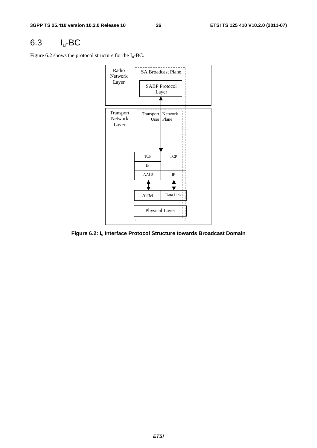# 6.3 Iu-BC

Figure 6.2 shows the protocol structure for the  $I_u$ -BC.



**Figure 6.2: Iu Interface Protocol Structure towards Broadcast Domain**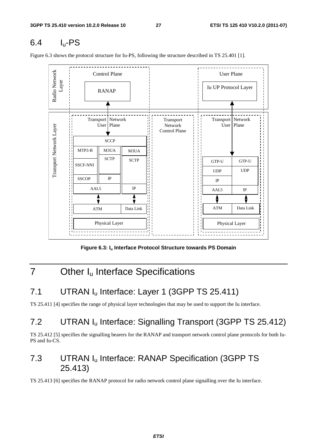# 6.4 Iu-PS

Figure 6.3 shows the protocol structure for Iu-PS, following the structure described in TS 25.401 [1].



Figure 6.3: I<sub>u</sub> Interface Protocol Structure towards PS Domain

# 7 Other I<sub>u</sub> Interface Specifications

# 7.1 UTRAN I<sub>u</sub> Interface: Layer 1 (3GPP TS 25.411)

TS 25.411 [4] specifies the range of physical layer technologies that may be used to support the Iu interface.

# 7.2 UTRAN I<sub>u</sub> Interface: Signalling Transport (3GPP TS 25.412)

TS 25.412 [5] specifies the signalling bearers for the RANAP and transport network control plane protocols for both Iu-PS and Iu-CS.

# 7.3 UTRAN Iu Interface: RANAP Specification (3GPP TS 25.413)

TS 25.413 [6] specifies the RANAP protocol for radio network control plane signalling over the Iu interface.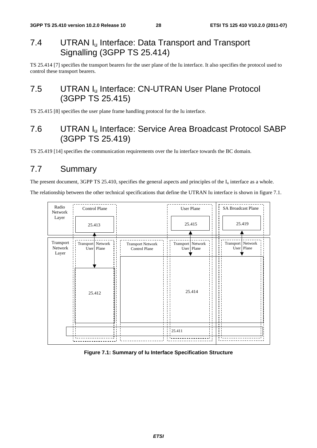# 7.4 UTRAN I<sub>u</sub> Interface: Data Transport and Transport Signalling (3GPP TS 25.414)

TS 25.414 [7] specifies the transport bearers for the user plane of the Iu interface. It also specifies the protocol used to control these transport bearers.

# 7.5 UTRAN I<sub>u</sub> Interface: CN-UTRAN User Plane Protocol (3GPP TS 25.415)

TS 25.415 [8] specifies the user plane frame handling protocol for the Iu interface.

# 7.6 UTRAN Iu Interface: Service Area Broadcast Protocol SABP (3GPP TS 25.419)

TS 25.419 [14] specifies the communication requirements over the Iu interface towards the BC domain.

# 7.7 Summary

The present document, 3GPP TS 25.410, specifies the general aspects and principles of the  $I_u$  interface as a whole.

The relationship between the other technical specifications that define the UTRAN Iu interface is shown in figure 7.1.



#### **Figure 7.1: Summary of Iu Interface Specification Structure**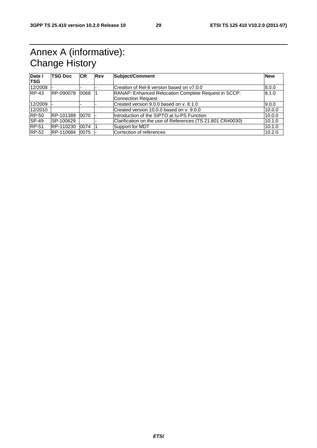# Annex A (informative): Change History

| Date /<br><b>TSG</b> | <b>TSG Doc</b> | <b>CR</b> | Rev | Subject/Comment                                                                   | <b>New</b> |
|----------------------|----------------|-----------|-----|-----------------------------------------------------------------------------------|------------|
| 12/2008              |                |           |     | Creation of Rel-8 version based on v7.0.0                                         | 8.0.0      |
| $RP-43$              | RP-090078      | 0068      |     | RANAP: Enhanced Relocation Complete Request in SCCP:<br><b>Connection Request</b> | 8.1.0      |
| 12/2009              |                |           |     | Created version 9.0.0 based on v. 8.1.0                                           | 9.0.0      |
| 12/2010              |                |           |     | Created version 10.0.0 based on v. 9.0.0                                          | 10.0.0     |
| <b>RP-50</b>         | RP-101389      | 0070      |     | Introduction of the SIPTO at Iu-PS Function                                       | 10.0.0     |
| $ SP-49 $            | SP-100629      |           |     | Clarification on the use of References (TS 21.801 CR#0030)                        | 10.1.0     |
| <b>RP-51</b>         | RP-110230      | 0074      |     | Support for MDT                                                                   | 10.1.0     |
| <b>RP-52</b>         | RP-110684      | 0075      |     | Correction of references                                                          | 10.2.0     |